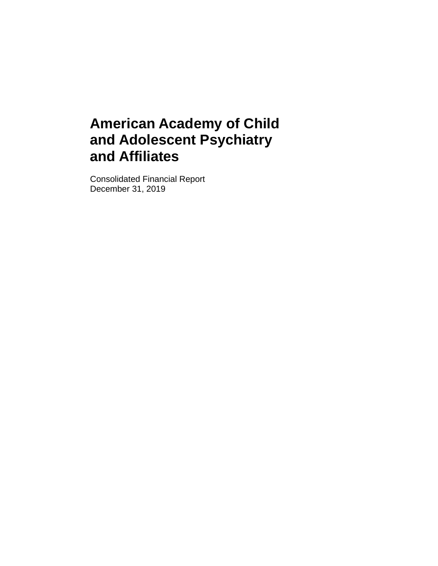Consolidated Financial Report December 31, 2019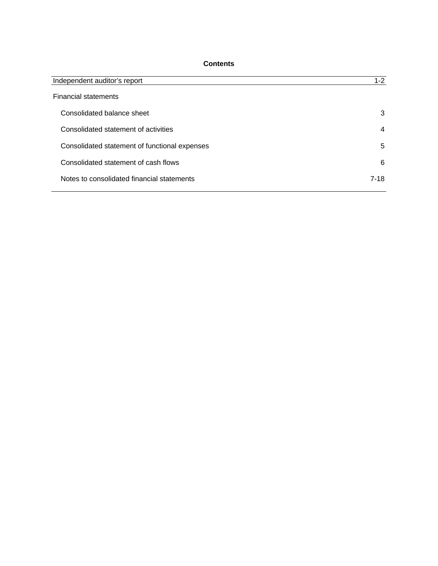# **Contents**

| Independent auditor's report                  | $1 - 2$ |
|-----------------------------------------------|---------|
| <b>Financial statements</b>                   |         |
| Consolidated balance sheet                    | 3       |
| Consolidated statement of activities          | 4       |
| Consolidated statement of functional expenses | 5       |
| Consolidated statement of cash flows          | 6       |
| Notes to consolidated financial statements    | 7-18    |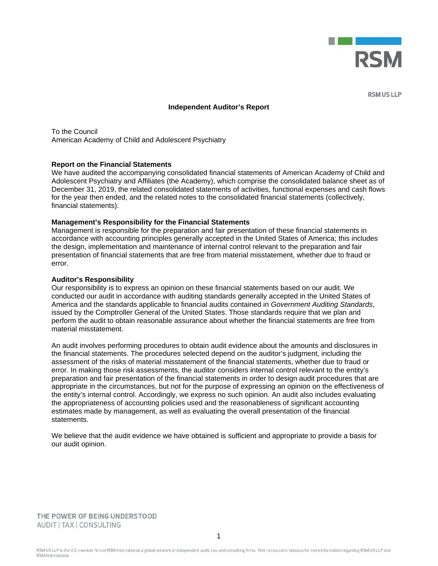

**RSM US LLP** 

#### **Independent Auditor's Report**

To the Council American Academy of Child and Adolescent Psychiatry

#### **Report on the Financial Statements**

We have audited the accompanying consolidated financial statements of American Academy of Child and Adolescent Psychiatry and Affiliates (the Academy), which comprise the consolidated balance sheet as of December 31, 2019, the related consolidated statements of activities, functional expenses and cash flows for the year then ended, and the related notes to the consolidated financial statements (collectively, financial statements).

#### **Management's Responsibility for the Financial Statements**

Management is responsible for the preparation and fair presentation of these financial statements in accordance with accounting principles generally accepted in the United States of America; this includes the design, implementation and maintenance of internal control relevant to the preparation and fair presentation of financial statements that are free from material misstatement, whether due to fraud or error.

#### **Auditor's Responsibility**

Our responsibility is to express an opinion on these financial statements based on our audit. We conducted our audit in accordance with auditing standards generally accepted in the United States of America and the standards applicable to financial audits contained in *Government Auditing Standards*, issued by the Comptroller General of the United States. Those standards require that we plan and perform the audit to obtain reasonable assurance about whether the financial statements are free from material misstatement.

An audit involves performing procedures to obtain audit evidence about the amounts and disclosures in the financial statements. The procedures selected depend on the auditor's judgment, including the assessment of the risks of material misstatement of the financial statements, whether due to fraud or error. In making those risk assessments, the auditor considers internal control relevant to the entity's preparation and fair presentation of the financial statements in order to design audit procedures that are appropriate in the circumstances, but not for the purpose of expressing an opinion on the effectiveness of the entity's internal control. Accordingly, we express no such opinion. An audit also includes evaluating the appropriateness of accounting policies used and the reasonableness of significant accounting estimates made by management, as well as evaluating the overall presentation of the financial statements.

We believe that the audit evidence we have obtained is sufficient and appropriate to provide a basis for our audit opinion.

THE POWER OF BEING UNDERSTOOD AUDIT | TAX | CONSULTING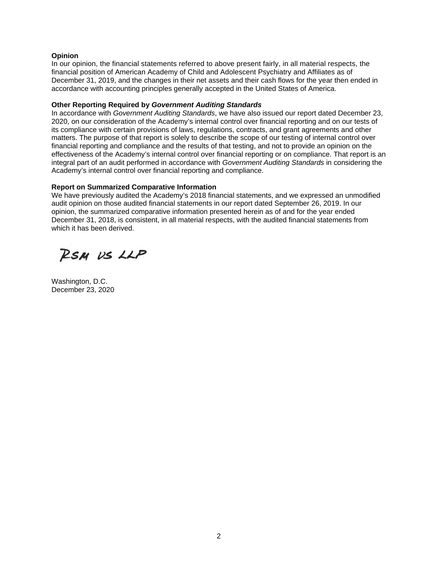#### **Opinion**

In our opinion, the financial statements referred to above present fairly, in all material respects, the financial position of American Academy of Child and Adolescent Psychiatry and Affiliates as of December 31, 2019, and the changes in their net assets and their cash flows for the year then ended in accordance with accounting principles generally accepted in the United States of America.

#### **Other Reporting Required by** *Government Auditing Standards*

In accordance with *Government Auditing Standards*, we have also issued our report dated December 23, 2020, on our consideration of the Academy's internal control over financial reporting and on our tests of its compliance with certain provisions of laws, regulations, contracts, and grant agreements and other matters. The purpose of that report is solely to describe the scope of our testing of internal control over financial reporting and compliance and the results of that testing, and not to provide an opinion on the effectiveness of the Academy's internal control over financial reporting or on compliance. That report is an integral part of an audit performed in accordance with *Government Auditing Standards* in considering the Academy's internal control over financial reporting and compliance.

## **Report on Summarized Comparative Information**

We have previously audited the Academy's 2018 financial statements, and we expressed an unmodified audit opinion on those audited financial statements in our report dated September 26, 2019. In our opinion, the summarized comparative information presented herein as of and for the year ended December 31, 2018, is consistent, in all material respects, with the audited financial statements from which it has been derived.

RSM US LLP

Washington, D.C. December 23, 2020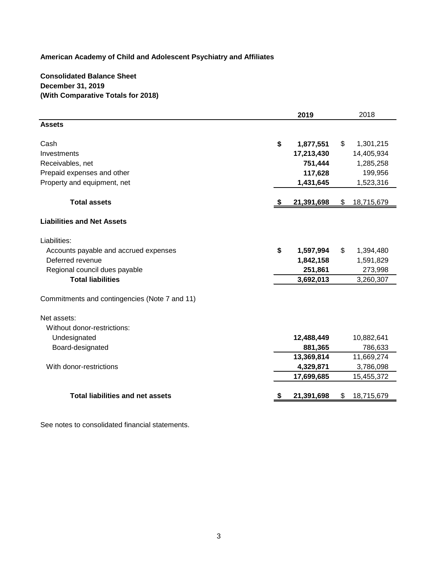# **Consolidated Balance Sheet December 31, 2019 (With Comparative Totals for 2018)**

|                                               |     | 2018       |                  |
|-----------------------------------------------|-----|------------|------------------|
| <b>Assets</b>                                 |     |            |                  |
| Cash                                          | \$  | 1,877,551  | \$<br>1,301,215  |
| Investments                                   |     | 17,213,430 | 14,405,934       |
| Receivables, net                              |     | 751,444    | 1,285,258        |
| Prepaid expenses and other                    |     | 117,628    | 199,956          |
| Property and equipment, net                   |     | 1,431,645  | 1,523,316        |
| <b>Total assets</b>                           | -56 | 21,391,698 | \$<br>18,715,679 |
| <b>Liabilities and Net Assets</b>             |     |            |                  |
| Liabilities:                                  |     |            |                  |
| Accounts payable and accrued expenses         | \$  | 1,597,994  | \$<br>1,394,480  |
| Deferred revenue                              |     | 1,842,158  | 1,591,829        |
| Regional council dues payable                 |     | 251,861    | 273,998          |
| <b>Total liabilities</b>                      |     | 3,692,013  | 3,260,307        |
| Commitments and contingencies (Note 7 and 11) |     |            |                  |
| Net assets:                                   |     |            |                  |
| Without donor-restrictions:                   |     |            |                  |
| Undesignated                                  |     | 12,488,449 | 10,882,641       |
| Board-designated                              |     | 881,365    | 786,633          |
|                                               |     | 13,369,814 | 11,669,274       |
| With donor-restrictions                       |     | 4,329,871  | 3,786,098        |
|                                               |     | 17,699,685 | 15,455,372       |
| <b>Total liabilities and net assets</b>       |     |            |                  |
|                                               |     | 21,391,698 | \$<br>18,715,679 |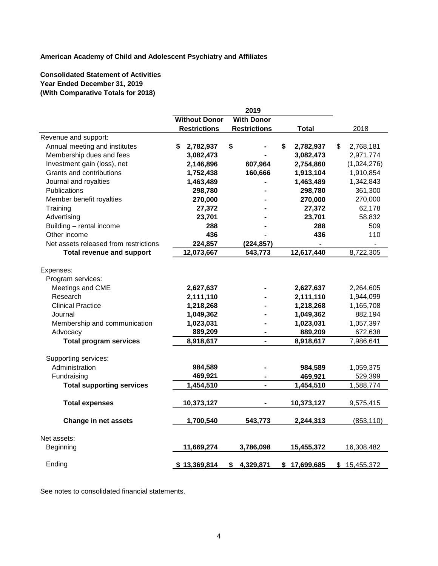# **Consolidated Statement of Activities Year Ended December 31, 2019 (With Comparative Totals for 2018)**

|                                       |                      | 2019                |                  |                  |
|---------------------------------------|----------------------|---------------------|------------------|------------------|
|                                       | <b>Without Donor</b> | <b>With Donor</b>   |                  |                  |
|                                       | <b>Restrictions</b>  | <b>Restrictions</b> | <b>Total</b>     | 2018             |
| Revenue and support:                  |                      |                     |                  |                  |
| Annual meeting and institutes         | 2,782,937<br>\$      | \$                  | \$<br>2,782,937  | \$<br>2,768,181  |
| Membership dues and fees              | 3,082,473            |                     | 3,082,473        | 2,971,774        |
| Investment gain (loss), net           | 2,146,896            | 607,964             | 2,754,860        | (1,024,276)      |
| Grants and contributions              | 1,752,438            | 160,666             | 1,913,104        | 1,910,854        |
| Journal and royalties                 | 1,463,489            |                     | 1,463,489        | 1,342,843        |
| Publications                          | 298,780              |                     | 298,780          | 361,300          |
| Member benefit royalties              | 270,000              |                     | 270,000          | 270,000          |
| Training                              | 27,372               |                     | 27,372           | 62,178           |
| Advertising                           | 23,701               |                     | 23,701           | 58,832           |
| Building - rental income              | 288                  |                     | 288              | 509              |
| Other income                          | 436                  |                     | 436              | 110              |
| Net assets released from restrictions | 224,857              | (224, 857)          |                  |                  |
| <b>Total revenue and support</b>      | 12,073,667           | 543,773             | 12,617,440       | 8,722,305        |
|                                       |                      |                     |                  |                  |
| Expenses:                             |                      |                     |                  |                  |
| Program services:                     |                      |                     |                  |                  |
| Meetings and CME                      | 2,627,637            |                     | 2,627,637        | 2,264,605        |
| Research                              | 2,111,110            |                     | 2,111,110        | 1,944,099        |
| <b>Clinical Practice</b>              | 1,218,268            |                     | 1,218,268        | 1,165,708        |
| Journal                               | 1,049,362            |                     | 1,049,362        | 882,194          |
| Membership and communication          | 1,023,031            |                     | 1,023,031        | 1,057,397        |
| Advocacy                              | 889,209              | $\blacksquare$      | 889,209          | 672,638          |
| <b>Total program services</b>         | 8,918,617            | $\blacksquare$      | 8,918,617        | 7,986,641        |
| Supporting services:                  |                      |                     |                  |                  |
| Administration                        | 984,589              |                     | 984,589          | 1,059,375        |
| Fundraising                           | 469,921              | $\blacksquare$      | 469,921          | 529,399          |
| <b>Total supporting services</b>      | 1,454,510            | $\blacksquare$      | 1,454,510        | 1,588,774        |
|                                       |                      |                     |                  |                  |
| <b>Total expenses</b>                 | 10,373,127           |                     | 10,373,127       | 9,575,415        |
| <b>Change in net assets</b>           | 1,700,540            | 543,773             | 2,244,313        | (853, 110)       |
| Net assets:                           |                      |                     |                  |                  |
| Beginning                             | 11,669,274           | 3,786,098           | 15,455,372       | 16,308,482       |
|                                       |                      |                     |                  |                  |
| Ending                                | \$13,369,814         | 4,329,871<br>\$     | 17,699,685<br>\$ | 15,455,372<br>\$ |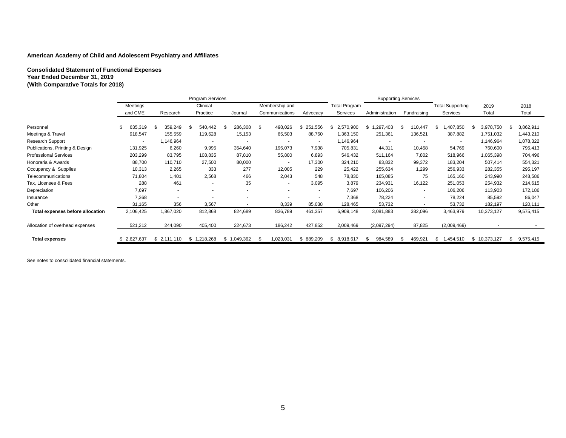**Consolidated Statement of Functional Expenses Year Ended December 31, 2019 (With Comparative Totals for 2018)**

|                                  |                 |               | <b>Program Services</b>  |                          | <b>Supporting Services</b> |                          |                      |                           |                          |                         |              |                 |
|----------------------------------|-----------------|---------------|--------------------------|--------------------------|----------------------------|--------------------------|----------------------|---------------------------|--------------------------|-------------------------|--------------|-----------------|
|                                  | Meetings        |               | Clinical                 |                          | Membership and             |                          | <b>Total Program</b> |                           |                          | <b>Total Supporting</b> | 2019         | 2018            |
|                                  | and CME         | Research      | Practice                 | Journal                  | Communications             | Advocacy                 | Services             | Administration            | Fundraising              | Services                | Total        | Total           |
|                                  |                 |               |                          |                          |                            |                          |                      |                           |                          |                         |              |                 |
| Personnel                        | \$<br>635,319   | 359,249<br>-9 | 540,442<br>- \$          | 286,308<br>- \$          | - \$<br>498,026            | 251,556<br>-S            | 2,570,900<br>S       | ,297,403<br>$$^{\circ}$ 1 | 110,447<br>-SS           | ,407,850<br>- 35        | 3,978,750    | 3,862,911       |
| Meetings & Travel                | 918,547         | 155,559       | 119,628                  | 15,153                   | 65,503                     | 88,760                   | 1,363,150            | 251,361                   | 136,521                  | 387,882                 | 1,751,032    | 1,443,210       |
| <b>Research Support</b>          |                 | 1,146,964     | $\blacksquare$           |                          |                            | $\overline{\phantom{a}}$ | 1,146,964            | $\overline{\phantom{a}}$  | $\overline{\phantom{a}}$ |                         | 1,146,964    | 1,078,322       |
| Publications, Printing & Design  | 131,925         | 6,260         | 9,995                    | 354,640                  | 195,073                    | 7,938                    | 705,831              | 44,311                    | 10,458                   | 54,769                  | 760,600      | 795,413         |
| <b>Professional Services</b>     | 203,299         | 83,795        | 108,835                  | 87,810                   | 55,800                     | 6,893                    | 546,432              | 511,164                   | 7,802                    | 518,966                 | 1,065,398    | 704,496         |
| Honoraria & Awards               | 88,700          | 110,710       | 27,500                   | 80,000                   |                            | 17,300                   | 324,210              | 83,832                    | 99,372                   | 183,204                 | 507,414      | 554,321         |
| Occupancy & Supplies             | 10,313          | 2,265         | 333                      | 277                      | 12,005                     | 229                      | 25,422               | 255,634                   | 1,299                    | 256,933                 | 282,355      | 295,197         |
| Telecommunications               | 71,804          | 1,401         | 2,568                    | 466                      | 2,043                      | 548                      | 78,830               | 165,085                   | 75                       | 165,160                 | 243,990      | 248,586         |
| Tax, Licenses & Fees             | 288             | 461           | $\overline{\phantom{a}}$ | 35                       | $\sim$                     | 3,095                    | 3,879                | 234,931                   | 16,122                   | 251,053                 | 254,932      | 214,615         |
| Depreciation                     | 7,697           | ۰             | ٠                        | $\overline{\phantom{a}}$ | $\sim$                     | $\overline{\phantom{a}}$ | 7,697                | 106,206                   | $\overline{\phantom{a}}$ | 106,206                 | 113,903      | 172,186         |
| Insurance                        | 7,368           |               |                          |                          |                            |                          | 7,368                | 78,224                    | $\overline{\phantom{a}}$ | 78,224                  | 85,592       | 86,047          |
| Other                            | 31,165          | 356           | 3,567                    |                          | 8,339                      | 85,038                   | 128,465              | 53,732                    |                          | 53,732                  | 182,197      | 120,111         |
| Total expenses before allocation | 2,106,425       | 1,867,020     | 812,868                  | 824,689                  | 836,789                    | 461,357                  | 6,909,148            | 3,081,883                 | 382,096                  | 3,463,979               | 10,373,127   | 9,575,415       |
| Allocation of overhead expenses  | 521,212         | 244,090       | 405,400                  | 224,673                  | 186,242                    | 427,852                  | 2,009,469            | (2,097,294)               | 87,825                   | (2,009,469)             |              |                 |
| <b>Total expenses</b>            | 2,627,637<br>\$ | \$2,111,110   | \$1,218,268              | \$1,049,362              | 1,023,031<br>-9            | \$ 889,209               | \$8,918,617          | 984,589<br>S.             | 469,921<br>\$.           | \$<br>.454,510          | \$10,373,127 | 9,575,415<br>S. |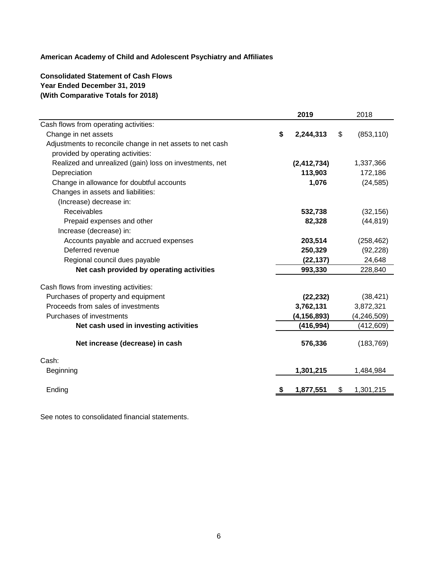# **Consolidated Statement of Cash Flows Year Ended December 31, 2019 (With Comparative Totals for 2018)**

|                                                           | 2019            | 2018             |
|-----------------------------------------------------------|-----------------|------------------|
| Cash flows from operating activities:                     |                 |                  |
| Change in net assets                                      | \$<br>2,244,313 | \$<br>(853, 110) |
| Adjustments to reconcile change in net assets to net cash |                 |                  |
| provided by operating activities:                         |                 |                  |
| Realized and unrealized (gain) loss on investments, net   | (2, 412, 734)   | 1,337,366        |
| Depreciation                                              | 113,903         | 172,186          |
| Change in allowance for doubtful accounts                 | 1,076           | (24, 585)        |
| Changes in assets and liabilities:                        |                 |                  |
| (Increase) decrease in:                                   |                 |                  |
| Receivables                                               | 532,738         | (32, 156)        |
| Prepaid expenses and other                                | 82,328          | (44, 819)        |
| Increase (decrease) in:                                   |                 |                  |
| Accounts payable and accrued expenses                     | 203,514         | (258, 462)       |
| Deferred revenue                                          | 250,329         | (92, 228)        |
| Regional council dues payable                             | (22, 137)       | 24,648           |
| Net cash provided by operating activities                 | 993,330         | 228,840          |
| Cash flows from investing activities:                     |                 |                  |
| Purchases of property and equipment                       | (22, 232)       | (38, 421)        |
| Proceeds from sales of investments                        | 3,762,131       | 3,872,321        |
| Purchases of investments                                  | (4, 156, 893)   | (4, 246, 509)    |
| Net cash used in investing activities                     | (416, 994)      | (412, 609)       |
|                                                           |                 |                  |
| Net increase (decrease) in cash                           | 576,336         | (183, 769)       |
| Cash:                                                     |                 |                  |
| Beginning                                                 | 1,301,215       | 1,484,984        |
| Ending                                                    | \$<br>1,877,551 | \$<br>1,301,215  |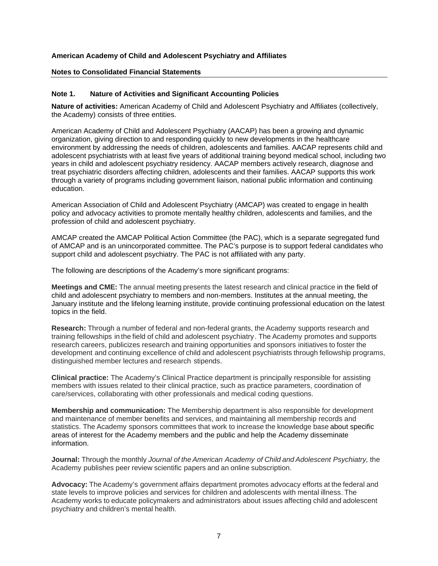#### **Notes to Consolidated Financial Statements**

### **Note 1. Nature of Activities and Significant Accounting Policies**

**Nature of activities:** American Academy of Child and Adolescent Psychiatry and Affiliates (collectively, the Academy) consists of three entities.

American Academy of Child and Adolescent Psychiatry (AACAP) has been a growing and dynamic organization, giving direction to and responding quickly to new developments in the healthcare environment by addressing the needs of children, adolescents and families. AACAP represents child and adolescent psychiatrists with at least five years of additional training beyond medical school, including two years in child and adolescent psychiatry residency. AACAP members actively research, diagnose and treat psychiatric disorders affecting children, adolescents and their families. AACAP supports this work through a variety of programs including government liaison, national public information and continuing education.

American Association of Child and Adolescent Psychiatry (AMCAP) was created to engage in health policy and advocacy activities to promote mentally healthy children, adolescents and families, and the profession of child and adolescent psychiatry.

AMCAP created the AMCAP Political Action Committee (the PAC), which is a separate segregated fund of AMCAP and is an unincorporated committee. The PAC's purpose is to support federal candidates who support child and adolescent psychiatry. The PAC is not affiliated with any party.

The following are descriptions of the Academy's more significant programs:

**Meetings and CME:** The annual meeting presents the latest research and clinical practice in the field of child and adolescent psychiatry to members and non-members. Institutes at the annual meeting, the January institute and the lifelong learning institute, provide continuing professional education on the latest topics in the field.

**Research:** Through a number of federal and non-federal grants, the Academy supports research and training fellowships in the field of child and adolescent psychiatry. The Academy promotes and supports research careers, publicizes research and training opportunities and sponsors initiatives to foster the development and continuing excellence of child and adolescent psychiatrists through fellowship programs, distinguished member lectures and research stipends.

**Clinical practice:** The Academy's Clinical Practice department is principally responsible for assisting members with issues related to their clinical practice, such as practice parameters, coordination of care/services, collaborating with other professionals and medical coding questions.

**Membership and communication:** The Membership department is also responsible for development and maintenance of member benefits and services, and maintaining all membership records and statistics. The Academy sponsors committees that work to increase the knowledge base about specific areas of interest for the Academy members and the public and help the Academy disseminate information.

**Journal:** Through the monthly *Journal of the American Academy of Child and Adolescent Psychiatry,* the Academy publishes peer review scientific papers and an online subscription.

**Advocacy:** The Academy's government affairs department promotes advocacy efforts at the federal and state levels to improve policies and services for children and adolescents with mental illness. The Academy works to educate policymakers and administrators about issues affecting child and adolescent psychiatry and children's mental health.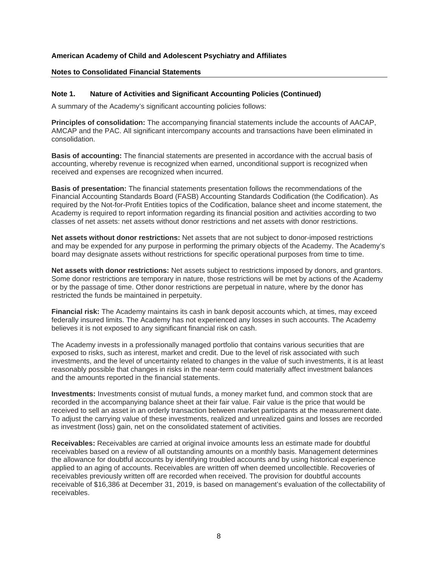#### **Notes to Consolidated Financial Statements**

#### **Note 1. Nature of Activities and Significant Accounting Policies (Continued)**

A summary of the Academy's significant accounting policies follows:

**Principles of consolidation:** The accompanying financial statements include the accounts of AACAP, AMCAP and the PAC. All significant intercompany accounts and transactions have been eliminated in consolidation.

**Basis of accounting:** The financial statements are presented in accordance with the accrual basis of accounting, whereby revenue is recognized when earned, unconditional support is recognized when received and expenses are recognized when incurred.

**Basis of presentation:** The financial statements presentation follows the recommendations of the Financial Accounting Standards Board (FASB) Accounting Standards Codification (the Codification). As required by the Not-for-Profit Entities topics of the Codification, balance sheet and income statement, the Academy is required to report information regarding its financial position and activities according to two classes of net assets: net assets without donor restrictions and net assets with donor restrictions.

**Net assets without donor restrictions:** Net assets that are not subject to donor-imposed restrictions and may be expended for any purpose in performing the primary objects of the Academy. The Academy's board may designate assets without restrictions for specific operational purposes from time to time.

**Net assets with donor restrictions:** Net assets subject to restrictions imposed by donors, and grantors. Some donor restrictions are temporary in nature, those restrictions will be met by actions of the Academy or by the passage of time. Other donor restrictions are perpetual in nature, where by the donor has restricted the funds be maintained in perpetuity.

**Financial risk:** The Academy maintains its cash in bank deposit accounts which, at times, may exceed federally insured limits. The Academy has not experienced any losses in such accounts. The Academy believes it is not exposed to any significant financial risk on cash.

The Academy invests in a professionally managed portfolio that contains various securities that are exposed to risks, such as interest, market and credit. Due to the level of risk associated with such investments, and the level of uncertainty related to changes in the value of such investments, it is at least reasonably possible that changes in risks in the near-term could materially affect investment balances and the amounts reported in the financial statements.

**Investments:** Investments consist of mutual funds, a money market fund, and common stock that are recorded in the accompanying balance sheet at their fair value. Fair value is the price that would be received to sell an asset in an orderly transaction between market participants at the measurement date. To adjust the carrying value of these investments, realized and unrealized gains and losses are recorded as investment (loss) gain, net on the consolidated statement of activities.

**Receivables:** Receivables are carried at original invoice amounts less an estimate made for doubtful receivables based on a review of all outstanding amounts on a monthly basis. Management determines the allowance for doubtful accounts by identifying troubled accounts and by using historical experience applied to an aging of accounts. Receivables are written off when deemed uncollectible. Recoveries of receivables previously written off are recorded when received. The provision for doubtful accounts receivable of \$16,386 at December 31, 2019, is based on management's evaluation of the collectability of receivables.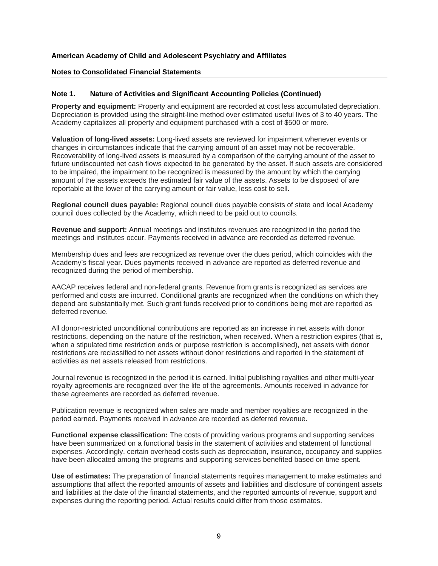#### **Notes to Consolidated Financial Statements**

#### **Note 1. Nature of Activities and Significant Accounting Policies (Continued)**

**Property and equipment:** Property and equipment are recorded at cost less accumulated depreciation. Depreciation is provided using the straight-line method over estimated useful lives of 3 to 40 years. The Academy capitalizes all property and equipment purchased with a cost of \$500 or more.

**Valuation of long-lived assets:** Long-lived assets are reviewed for impairment whenever events or changes in circumstances indicate that the carrying amount of an asset may not be recoverable. Recoverability of long-lived assets is measured by a comparison of the carrying amount of the asset to future undiscounted net cash flows expected to be generated by the asset. If such assets are considered to be impaired, the impairment to be recognized is measured by the amount by which the carrying amount of the assets exceeds the estimated fair value of the assets. Assets to be disposed of are reportable at the lower of the carrying amount or fair value, less cost to sell.

**Regional council dues payable:** Regional council dues payable consists of state and local Academy council dues collected by the Academy, which need to be paid out to councils.

**Revenue and support:** Annual meetings and institutes revenues are recognized in the period the meetings and institutes occur. Payments received in advance are recorded as deferred revenue.

Membership dues and fees are recognized as revenue over the dues period, which coincides with the Academy's fiscal year. Dues payments received in advance are reported as deferred revenue and recognized during the period of membership.

AACAP receives federal and non-federal grants. Revenue from grants is recognized as services are performed and costs are incurred. Conditional grants are recognized when the conditions on which they depend are substantially met. Such grant funds received prior to conditions being met are reported as deferred revenue.

All donor-restricted unconditional contributions are reported as an increase in net assets with donor restrictions, depending on the nature of the restriction, when received. When a restriction expires (that is, when a stipulated time restriction ends or purpose restriction is accomplished), net assets with donor restrictions are reclassified to net assets without donor restrictions and reported in the statement of activities as net assets released from restrictions.

Journal revenue is recognized in the period it is earned. Initial publishing royalties and other multi-year royalty agreements are recognized over the life of the agreements. Amounts received in advance for these agreements are recorded as deferred revenue.

Publication revenue is recognized when sales are made and member royalties are recognized in the period earned. Payments received in advance are recorded as deferred revenue.

**Functional expense classification:** The costs of providing various programs and supporting services have been summarized on a functional basis in the statement of activities and statement of functional expenses. Accordingly, certain overhead costs such as depreciation, insurance, occupancy and supplies have been allocated among the programs and supporting services benefited based on time spent.

**Use of estimates:** The preparation of financial statements requires management to make estimates and assumptions that affect the reported amounts of assets and liabilities and disclosure of contingent assets and liabilities at the date of the financial statements, and the reported amounts of revenue, support and expenses during the reporting period. Actual results could differ from those estimates.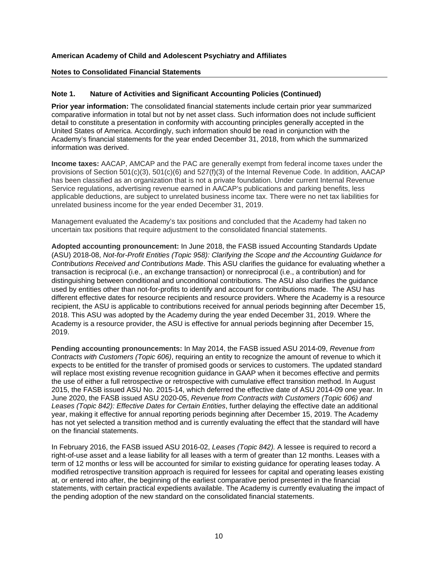# **Notes to Consolidated Financial Statements**

## **Note 1. Nature of Activities and Significant Accounting Policies (Continued)**

**Prior year information:** The consolidated financial statements include certain prior year summarized comparative information in total but not by net asset class. Such information does not include sufficient detail to constitute a presentation in conformity with accounting principles generally accepted in the United States of America. Accordingly, such information should be read in conjunction with the Academy's financial statements for the year ended December 31, 2018, from which the summarized information was derived.

**Income taxes:** AACAP, AMCAP and the PAC are generally exempt from federal income taxes under the provisions of Section 501(c)(3), 501(c)(6) and 527(f)(3) of the Internal Revenue Code. In addition, AACAP has been classified as an organization that is not a private foundation. Under current Internal Revenue Service regulations, advertising revenue earned in AACAP's publications and parking benefits, less applicable deductions, are subject to unrelated business income tax. There were no net tax liabilities for unrelated business income for the year ended December 31, 2019.

Management evaluated the Academy's tax positions and concluded that the Academy had taken no uncertain tax positions that require adjustment to the consolidated financial statements.

**Adopted accounting pronouncement:** In June 2018, the FASB issued Accounting Standards Update (ASU) 2018-08, *Not-for-Profit Entities (Topic 958): Clarifying the Scope and the Accounting Guidance for Contributions Received and Contributions Made*. This ASU clarifies the guidance for evaluating whether a transaction is reciprocal (i.e., an exchange transaction) or nonreciprocal (i.e., a contribution) and for distinguishing between conditional and unconditional contributions. The ASU also clarifies the guidance used by entities other than not-for-profits to identify and account for contributions made. The ASU has different effective dates for resource recipients and resource providers. Where the Academy is a resource recipient, the ASU is applicable to contributions received for annual periods beginning after December 15, 2018. This ASU was adopted by the Academy during the year ended December 31, 2019. Where the Academy is a resource provider, the ASU is effective for annual periods beginning after December 15, 2019.

**Pending accounting pronouncements:** In May 2014, the FASB issued ASU 2014-09, *Revenue from Contracts with Customers (Topic 606)*, requiring an entity to recognize the amount of revenue to which it expects to be entitled for the transfer of promised goods or services to customers. The updated standard will replace most existing revenue recognition guidance in GAAP when it becomes effective and permits the use of either a full retrospective or retrospective with cumulative effect transition method. In August 2015, the FASB issued ASU No. 2015-14, which deferred the effective date of ASU 2014-09 one year. In June 2020, the FASB issued ASU 2020-05, *Revenue from Contracts with Customers (Topic 606) and Leases (Topic 842): Effective Dates for Certain Entities*, further delaying the effective date an additional year, making it effective for annual reporting periods beginning after December 15, 2019. The Academy has not yet selected a transition method and is currently evaluating the effect that the standard will have on the financial statements.

In February 2016, the FASB issued ASU 2016-02, *Leases (Topic 842).* A lessee is required to record a right-of-use asset and a lease liability for all leases with a term of greater than 12 months. Leases with a term of 12 months or less will be accounted for similar to existing guidance for operating leases today. A modified retrospective transition approach is required for lessees for capital and operating leases existing at, or entered into after, the beginning of the earliest comparative period presented in the financial statements, with certain practical expedients available. The Academy is currently evaluating the impact of the pending adoption of the new standard on the consolidated financial statements.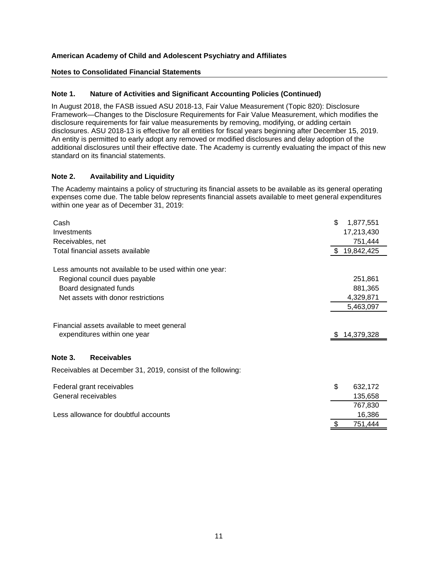# **Notes to Consolidated Financial Statements**

# **Note 1. Nature of Activities and Significant Accounting Policies (Continued)**

In August 2018, the FASB issued ASU 2018-13, Fair Value Measurement (Topic 820): Disclosure Framework—Changes to the Disclosure Requirements for Fair Value Measurement, which modifies the disclosure requirements for fair value measurements by removing, modifying, or adding certain disclosures. ASU 2018-13 is effective for all entities for fiscal years beginning after December 15, 2019. An entity is permitted to early adopt any removed or modified disclosures and delay adoption of the additional disclosures until their effective date. The Academy is currently evaluating the impact of this new standard on its financial statements.

## **Note 2. Availability and Liquidity**

The Academy maintains a policy of structuring its financial assets to be available as its general operating expenses come due. The table below represents financial assets available to meet general expenditures within one year as of December 31, 2019:

| Cash                                                        | \$<br>1,877,551  |
|-------------------------------------------------------------|------------------|
| Investments                                                 | 17,213,430       |
| Receivables, net                                            | 751,444          |
| Total financial assets available                            | \$<br>19,842,425 |
| Less amounts not available to be used within one year:      |                  |
| Regional council dues payable                               | 251,861          |
| Board designated funds                                      | 881,365          |
| Net assets with donor restrictions                          | 4,329,871        |
|                                                             | 5,463,097        |
|                                                             |                  |
| Financial assets available to meet general                  |                  |
| expenditures within one year                                | 14,379,328       |
| <b>Receivables</b><br>Note 3.                               |                  |
| Receivables at December 31, 2019, consist of the following: |                  |
| Federal grant receivables                                   | \$<br>632,172    |
| General receivables                                         | 135,658          |
|                                                             | 767,830          |
| Less allowance for doubtful accounts                        | 16,386           |
|                                                             | \$<br>751,444    |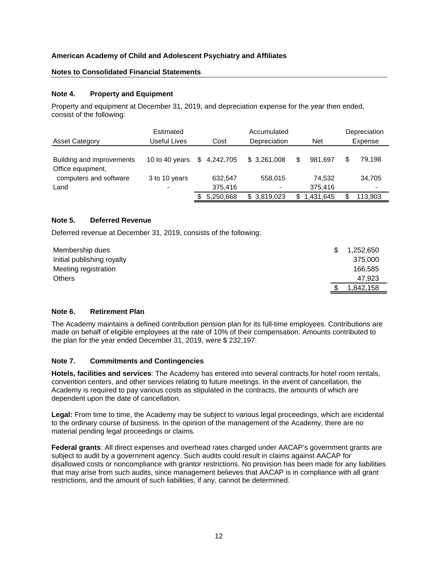## **Notes to Consolidated Financial Statements**

## **Note 4. Property and Equipment**

Property and equipment at December 31, 2019, and depreciation expense for the year then ended, consist of the following:

| <b>Asset Category</b>                          | Estimated<br>Useful Lives | Accumulated<br>Depreciation<br>Cost<br><b>Net</b> |           |             |   |           | Depreciation<br>Expense |
|------------------------------------------------|---------------------------|---------------------------------------------------|-----------|-------------|---|-----------|-------------------------|
| Building and improvements<br>Office equipment, | 10 to 40 years            | S.                                                | 4.242.705 | \$3,261,008 | S | 981.697   | 79,198                  |
| computers and software                         | 3 to 10 years             |                                                   | 632.547   | 558,015     |   | 74.532    | 34,705                  |
| Land                                           |                           |                                                   | 375,416   |             |   | 375,416   |                         |
|                                                |                           |                                                   | 5,250,668 | \$3,819,023 |   | 1.431.645 | 113.903                 |

# **Note 5. Deferred Revenue**

Deferred revenue at December 31, 2019, consists of the following:

| Membership dues            | 1,252,650 |
|----------------------------|-----------|
| Initial publishing royalty | 375,000   |
| Meeting registration       | 166.585   |
| <b>Others</b>              | 47.923    |
|                            | l.842.158 |

# **Note 6. Retirement Plan**

The Academy maintains a defined contribution pension plan for its full-time employees. Contributions are made on behalf of eligible employees at the rate of 10% of their compensation. Amounts contributed to the plan for the year ended December 31, 2019, were \$ 232,197.

#### **Note 7. Commitments and Contingencies**

**Hotels, facilities and services**: The Academy has entered into several contracts for hotel room rentals, convention centers, and other services relating to future meetings. In the event of cancellation, the Academy is required to pay various costs as stipulated in the contracts, the amounts of which are dependent upon the date of cancellation.

**Legal:** From time to time, the Academy may be subject to various legal proceedings, which are incidental to the ordinary course of business. In the opinion of the management of the Academy, there are no material pending legal proceedings or claims.

**Federal grants**: All direct expenses and overhead rates charged under AACAP's government grants are subject to audit by a government agency. Such audits could result in claims against AACAP for disallowed costs or noncompliance with grantor restrictions. No provision has been made for any liabilities that may arise from such audits, since management believes that AACAP is in compliance with all grant restrictions, and the amount of such liabilities, if any, cannot be determined.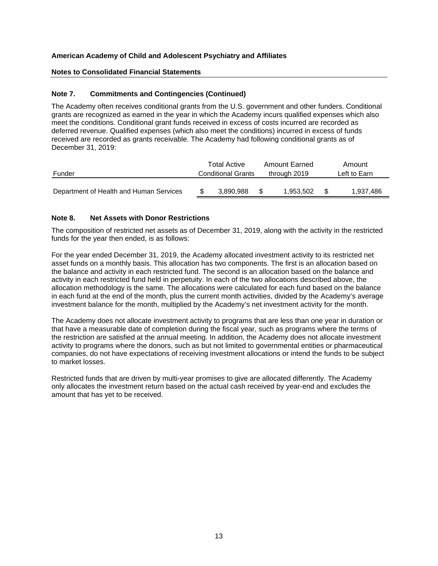# **Notes to Consolidated Financial Statements**

# **Note 7. Commitments and Contingencies (Continued)**

The Academy often receives conditional grants from the U.S. government and other funders. Conditional grants are recognized as earned in the year in which the Academy incurs qualified expenses which also meet the conditions. Conditional grant funds received in excess of costs incurred are recorded as deferred revenue. Qualified expenses (which also meet the conditions) incurred in excess of funds received are recorded as grants receivable. The Academy had following conditional grants as of December 31, 2019:

| Funder                                  | Total Active<br><b>Conditional Grants</b> |           | Amount Earned<br>through 2019 | Amount<br>Left to Earn |           |  |
|-----------------------------------------|-------------------------------------------|-----------|-------------------------------|------------------------|-----------|--|
| Department of Health and Human Services |                                           | 3,890,988 | 1.953.502                     |                        | 1,937,486 |  |

# **Note 8. Net Assets with Donor Restrictions**

The composition of restricted net assets as of December 31, 2019, along with the activity in the restricted funds for the year then ended, is as follows:

For the year ended December 31, 2019, the Academy allocated investment activity to its restricted net asset funds on a monthly basis. This allocation has two components. The first is an allocation based on the balance and activity in each restricted fund. The second is an allocation based on the balance and activity in each restricted fund held in perpetuity. In each of the two allocations described above, the allocation methodology is the same. The allocations were calculated for each fund based on the balance in each fund at the end of the month, plus the current month activities, divided by the Academy's average investment balance for the month, multiplied by the Academy's net investment activity for the month.

The Academy does not allocate investment activity to programs that are less than one year in duration or that have a measurable date of completion during the fiscal year, such as programs where the terms of the restriction are satisfied at the annual meeting. In addition, the Academy does not allocate investment activity to programs where the donors, such as but not limited to governmental entities or pharmaceutical companies, do not have expectations of receiving investment allocations or intend the funds to be subject to market losses.

Restricted funds that are driven by multi-year promises to give are allocated differently. The Academy only allocates the investment return based on the actual cash received by year-end and excludes the amount that has yet to be received.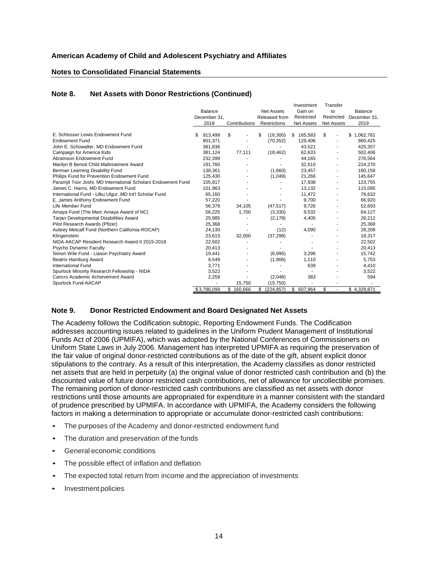#### **Notes to Consolidated Financial Statements**

#### **Note 8. Net Assets with Donor Restrictions (Continued)**

|                                                               | Balance<br>December 31.<br>2018 | Contributions | <b>Net Assets</b><br>Released from<br>Restrictions | Investment<br>Gain on<br>Restricted<br><b>Net Assets</b> | Transfer<br>to<br>Restricted<br><b>Net Assets</b> | Balance<br>December 31,<br>2019 |
|---------------------------------------------------------------|---------------------------------|---------------|----------------------------------------------------|----------------------------------------------------------|---------------------------------------------------|---------------------------------|
| E. Schlosser Lewis Endowment Fund                             | 913.498                         | \$            | \$<br>(16, 300)                                    | 165,583<br>\$.                                           | \$                                                | \$1,062,781                     |
| <b>Endowment Fund</b>                                         | 801.371                         |               | (70, 352)                                          | 129,406                                                  |                                                   | 860,425                         |
| John E. Schowalter, MD Endowment Fund                         | 381,836                         |               |                                                    | 43,521                                                   |                                                   | 425,357                         |
| Campaign for America Kids                                     | 381.124                         | 77,111        | (18, 462)                                          | 62,633                                                   |                                                   | 502,406                         |
| Abramson Endowment Fund                                       | 232.399                         |               |                                                    | 44.165                                                   |                                                   | 276,564                         |
| Marilyn B Benoit Child Maltreatment Award                     | 191.760                         |               |                                                    | 32,510                                                   |                                                   | 224,270                         |
| Berman Learning Disability Fund                               | 138,361                         |               | (1,660)                                            | 23,457                                                   |                                                   | 160,158                         |
| Philips Fund for Prevention Endowment Fund                    | 125,430                         |               | (1,049)                                            | 21,266                                                   |                                                   | 145,647                         |
| Paramjit Toor Joshi, MD International Scholars Endowment Fund | 105,817                         |               |                                                    | 17,938                                                   |                                                   | 123,755                         |
| James C. Harris, MD Endowment Fund                            | 101,963                         |               |                                                    | 13,132                                                   |                                                   | 115,095                         |
| International Fund - Ulku Ulgur, MD Int'l Scholar Fund        | 65,160                          |               |                                                    | 11,472                                                   |                                                   | 76,632                          |
| E. James Anthony Endowment Fund                               | 57,220                          |               |                                                    | 9.700                                                    |                                                   | 66,920                          |
| Life Member Fund                                              | 56,379                          | 34,105        | (47, 517)                                          | 9,726                                                    |                                                   | 52,693                          |
| Amaya Fund (The Marc Amaya Award of NC)                       | 56,225                          | 1,700         | (3,330)                                            | 9,532                                                    |                                                   | 64,127                          |
| Tarjan Developmental Disabilities Award                       | 25,985                          |               | (2, 178)                                           | 4,405                                                    |                                                   | 28,212                          |
| Pilot Research Awards (Pfizer)                                | 25,368                          |               |                                                    |                                                          |                                                   | 25,368                          |
| Aubrey Metcalf Fund (Northern California-ROCAP)               | 24,130                          |               | (12)                                               | 4,090                                                    |                                                   | 28,208                          |
| Klingenstein                                                  | 23,615                          | 32,000        | (37, 298)                                          |                                                          |                                                   | 18,317                          |
| NIDA AACAP Resident Research Award II 2015-2018               | 22,502                          |               |                                                    |                                                          |                                                   | 22,502                          |
| Psycho Dynamic Faculty                                        | 20,413                          |               |                                                    |                                                          |                                                   | 20,413                          |
| Simon Wile Fund - Liason Psychiatry Award                     | 19,441                          |               | (6,995)                                            | 3,296                                                    |                                                   | 15,742                          |
| Beatrix Hamburg Award                                         | 6,549                           |               | (1,906)                                            | 1,110                                                    |                                                   | 5,753                           |
| International Fund                                            | 3,771                           |               |                                                    | 639                                                      |                                                   | 4,410                           |
| Spurlock Minority Research Fellowship - NIDA                  | 3,522                           |               |                                                    | $\overline{\phantom{a}}$                                 |                                                   | 3,522                           |
| Cancro Academic Achievement Award                             | 2,259                           |               | (2,048)                                            | 383                                                      |                                                   | 594                             |
| Spurlock Fund-AACAP                                           |                                 | 15,750        | (15,750)                                           |                                                          |                                                   |                                 |
|                                                               | \$3,786,098                     | \$160,666     | (224, 857)<br>\$                                   | \$ 607,964                                               | \$<br>$\sim$                                      | \$4,329,871                     |

#### **Note 9. Donor Restricted Endowment and Board Designated Net Assets**

The Academy follows the Codification subtopic, Reporting Endowment Funds. The Codification addresses accounting issues related to guidelines in the Uniform Prudent Management of Institutional Funds Act of 2006 (UPMIFA), which was adopted by the National Conferences of Commissioners on Uniform State Laws in July 2006. Management has interpreted UPMIFA as requiring the preservation of the fair value of original donor-restricted contributions as of the date of the gift, absent explicit donor stipulations to the contrary. As a result of this interpretation, the Academy classifies as donor restricted net assets that are held in perpetuity (a) the original value of donor restricted cash contribution and (b) the discounted value of future donor restricted cash contributions, net of allowance for uncollectible promises. The remaining portion of donor-restricted cash contributions are classified as net assets with donor restrictions until those amounts are appropriated for expenditure in a manner consistent with the standard of prudence prescribed by UPMIFA. In accordance with UPMIFA, the Academy considers the following factors in making a determination to appropriate or accumulate donor-restricted cash contributions:

- The purposes of the Academy and donor-restricted endowment fund
- The duration and preservation of the funds
- General economic conditions
- The possible effect of inflation and deflation
- The expected total return from income and the appreciation of investments
- Investment policies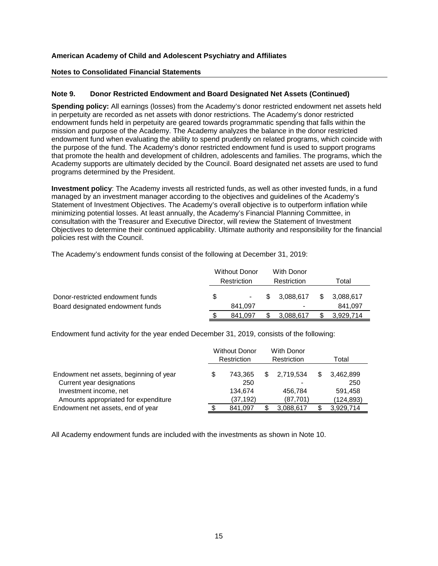#### **Notes to Consolidated Financial Statements**

## **Note 9. Donor Restricted Endowment and Board Designated Net Assets (Continued)**

**Spending policy:** All earnings (losses) from the Academy's donor restricted endowment net assets held in perpetuity are recorded as net assets with donor restrictions. The Academy's donor restricted endowment funds held in perpetuity are geared towards programmatic spending that falls within the mission and purpose of the Academy. The Academy analyzes the balance in the donor restricted endowment fund when evaluating the ability to spend prudently on related programs, which coincide with the purpose of the fund. The Academy's donor restricted endowment fund is used to support programs that promote the health and development of children, adolescents and families. The programs, which the Academy supports are ultimately decided by the Council. Board designated net assets are used to fund programs determined by the President.

**Investment policy**: The Academy invests all restricted funds, as well as other invested funds, in a fund managed by an investment manager according to the objectives and guidelines of the Academy's Statement of Investment Objectives. The Academy's overall objective is to outperform inflation while minimizing potential losses. At least annually, the Academy's Financial Planning Committee, in consultation with the Treasurer and Executive Director, will review the Statement of Investment Objectives to determine their continued applicability. Ultimate authority and responsibility for the financial policies rest with the Council.

The Academy's endowment funds consist of the following at December 31, 2019:

|                                                                      | <b>Without Donor</b><br>Restriction |                       |    | With Donor<br>Restriction             | Total                   |
|----------------------------------------------------------------------|-------------------------------------|-----------------------|----|---------------------------------------|-------------------------|
| Donor-restricted endowment funds<br>Board designated endowment funds | S                                   | $\sim$ $-$<br>841.097 | S. | 3.088.617<br>$\overline{\phantom{0}}$ | \$ 3.088.617<br>841.097 |
|                                                                      |                                     | 841.097               |    | 3.088.617                             | 3.929.714               |

Endowment fund activity for the year ended December 31, 2019, consists of the following:

|                                         | <b>Without Donor</b><br>Restriction |          | With Donor<br>Restriction |    | Total     |
|-----------------------------------------|-------------------------------------|----------|---------------------------|----|-----------|
|                                         |                                     |          |                           |    |           |
| Endowment net assets, beginning of year | S                                   | 743.365  | 2,719,534                 | SS | 3.462.899 |
| Current year designations               |                                     | 250      |                           |    | 250       |
| Investment income, net                  |                                     | 134.674  | 456.784                   |    | 591,458   |
| Amounts appropriated for expenditure    |                                     | (37,192) | (87,701)                  |    | (124,893) |
| Endowment net assets, end of year       |                                     | 841.097  | 3,088,617                 |    | 3,929,714 |

All Academy endowment funds are included with the investments as shown in Note 10.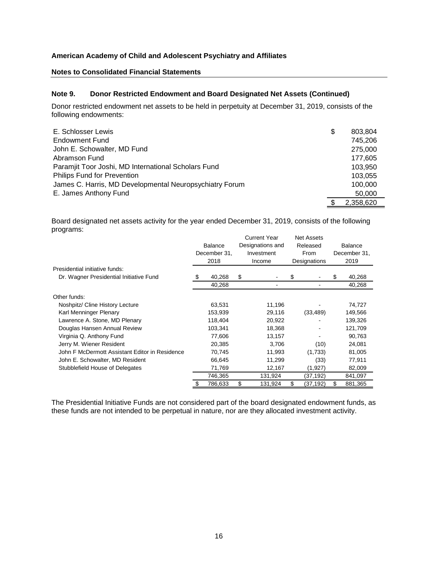#### **Notes to Consolidated Financial Statements**

#### **Note 9. Donor Restricted Endowment and Board Designated Net Assets (Continued)**

Donor restricted endowment net assets to be held in perpetuity at December 31, 2019, consists of the following endowments:

| E. Schlosser Lewis                                      | S | 803,804   |
|---------------------------------------------------------|---|-----------|
| <b>Endowment Fund</b>                                   |   | 745,206   |
| John E. Schowalter, MD Fund                             |   | 275,000   |
| Abramson Fund                                           |   | 177.605   |
| Paramjit Toor Joshi, MD International Scholars Fund     |   | 103,950   |
| <b>Philips Fund for Prevention</b>                      |   | 103,055   |
| James C. Harris, MD Developmental Neuropsychiatry Forum |   | 100,000   |
| E. James Anthony Fund                                   |   | 50,000    |
|                                                         |   | 2.358.620 |

Board designated net assets activity for the year ended December 31, 2019, consists of the following programs:

|                                                |   |                | <b>Current Year</b> | <b>Net Assets</b> |    |                |
|------------------------------------------------|---|----------------|---------------------|-------------------|----|----------------|
|                                                |   | <b>Balance</b> | Designations and    | Released          |    | <b>Balance</b> |
|                                                |   | December 31,   | Investment          | From              |    | December 31,   |
|                                                |   | 2018           | Income              | Designations      |    | 2019           |
| Presidential initiative funds:                 |   |                |                     |                   |    |                |
| Dr. Wagner Presidential Initiative Fund        | S | 40,268         | \$                  | \$                | S  | 40,268         |
|                                                |   | 40,268         |                     |                   |    | 40,268         |
| Other funds:                                   |   |                |                     |                   |    |                |
| Noshpitz/ Cline History Lecture                |   | 63,531         | 11,196              |                   |    | 74,727         |
| Karl Menninger Plenary                         |   | 153,939        | 29,116              | (33, 489)         |    | 149,566        |
| Lawrence A. Stone, MD Plenary                  |   | 118,404        | 20,922              |                   |    | 139,326        |
| Douglas Hansen Annual Review                   |   | 103,341        | 18,368              |                   |    | 121,709        |
| Virginia Q. Anthony Fund                       |   | 77,606         | 13,157              |                   |    | 90,763         |
| Jerry M. Wiener Resident                       |   | 20,385         | 3,706               | (10)              |    | 24,081         |
| John F McDermott Assistant Editor in Residence |   | 70,745         | 11,993              | (1,733)           |    | 81,005         |
| John E. Schowalter, MD Resident                |   | 66,645         | 11,299              | (33)              |    | 77,911         |
| Stubblefield House of Delegates                |   | 71,769         | 12,167              | (1, 927)          |    | 82,009         |
|                                                |   | 746,365        | 131,924             | (37, 192)         |    | 841,097        |
|                                                | S | 786,633        | \$<br>131,924       | \$<br>(37, 192)   | \$ | 881,365        |

The Presidential Initiative Funds are not considered part of the board designated endowment funds, as these funds are not intended to be perpetual in nature, nor are they allocated investment activity.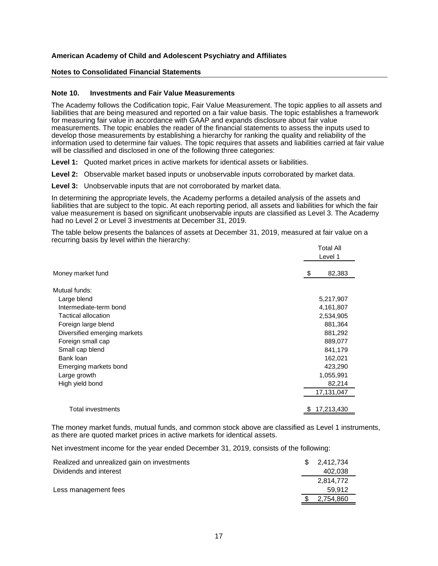#### **Notes to Consolidated Financial Statements**

#### **Note 10. Investments and Fair Value Measurements**

The Academy follows the Codification topic, Fair Value Measurement. The topic applies to all assets and liabilities that are being measured and reported on a fair value basis. The topic establishes a framework for measuring fair value in accordance with GAAP and expands disclosure about fair value measurements. The topic enables the reader of the financial statements to assess the inputs used to develop those measurements by establishing a hierarchy for ranking the quality and reliability of the information used to determine fair values. The topic requires that assets and liabilities carried at fair value will be classified and disclosed in one of the following three categories:

**Level 1:** Quoted market prices in active markets for identical assets or liabilities.

**Level 2:** Observable market based inputs or unobservable inputs corroborated by market data.

**Level 3:** Unobservable inputs that are not corroborated by market data.

In determining the appropriate levels, the Academy performs a detailed analysis of the assets and liabilities that are subject to the topic. At each reporting period, all assets and liabilities for which the fair value measurement is based on significant unobservable inputs are classified as Level 3. The Academy had no Level 2 or Level 3 investments at December 31, 2019.

The table below presents the balances of assets at December 31, 2019, measured at fair value on a recurring basis by level within the hierarchy:

|                              | <b>Total All</b><br>Level 1 |
|------------------------------|-----------------------------|
| Money market fund            | 82,383<br>- \$              |
| Mutual funds:                |                             |
| Large blend                  | 5,217,907                   |
| Intermediate-term bond       | 4,161,807                   |
| <b>Tactical allocation</b>   | 2,534,905                   |
| Foreign large blend          | 881,364                     |
| Diversified emerging markets | 881,292                     |
| Foreign small cap            | 889,077                     |
| Small cap blend              | 841,179                     |
| Bank loan                    | 162,021                     |
| Emerging markets bond        | 423,290                     |
| Large growth                 | 1,055,991                   |
| High yield bond              | 82,214                      |
|                              | 17,131,047                  |
|                              |                             |
| <b>Total investments</b>     | 17,213,430<br>\$            |

The money market funds, mutual funds, and common stock above are classified as Level 1 instruments, as there are quoted market prices in active markets for identical assets.

Net investment income for the year ended December 31, 2019, consists of the following:

| Realized and unrealized gain on investments | \$2,412,734 |
|---------------------------------------------|-------------|
| Dividends and interest                      | 402.038     |
|                                             | 2.814.772   |
| Less management fees                        | 59.912      |
|                                             | 2.754.860   |